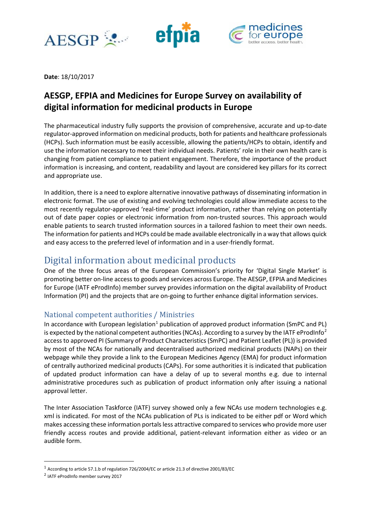





**Date**: 18/10/2017

## **AESGP, EFPIA and Medicines for Europe Survey on availability of digital information for medicinal products in Europe**

The pharmaceutical industry fully supports the provision of comprehensive, accurate and up-to-date regulator-approved information on medicinal products, both for patients and healthcare professionals (HCPs). Such information must be easily accessible, allowing the patients/HCPs to obtain, identify and use the information necessary to meet their individual needs. Patients' role in their own health care is changing from patient compliance to patient engagement. Therefore, the importance of the product information is increasing, and content, readability and layout are considered key pillars for its correct and appropriate use.

In addition, there is a need to explore alternative innovative pathways of disseminating information in electronic format. The use of existing and evolving technologies could allow immediate access to the most recently regulator-approved 'real-time' product information, rather than relying on potentially out of date paper copies or electronic information from non-trusted sources. This approach would enable patients to search trusted information sources in a tailored fashion to meet their own needs. The information for patients and HCPs could be made available electronically in a way that allows quick and easy access to the preferred level of information and in a user-friendly format.

## Digital information about medicinal products

One of the three focus areas of the European Commission's priority for 'Digital Single Market' is promoting better on-line access to goods and services across Europe. The AESGP, EFPIA and Medicines for Europe (IATF eProdInfo) member survey provides information on the digital availability of Product Information (PI) and the projects that are on-going to further enhance digital information services.

### National competent authorities / Ministries

In accordance with European legislation<sup>[1](#page-0-0)</sup> publication of approved product information (SmPC and PL) is expected by the national competent authorities (NCAs). According to a survey by the IATF eProdInfo<sup>[2](#page-0-1)</sup> access to approved PI (Summary of Product Characteristics (SmPC) and Patient Leaflet (PL)) is provided by most of the NCAs for nationally and decentralised authorized medicinal products (NAPs) on their webpage while they provide a link to the European Medicines Agency (EMA) for product information of centrally authorized medicinal products (CAPs). For some authorities it is indicated that publication of updated product information can have a delay of up to several months e.g. due to internal administrative procedures such as publication of product information only after issuing a national approval letter.

The Inter Association Taskforce (IATF) survey showed only a few NCAs use modern technologies e.g. xml is indicated. For most of the NCAs publication of PLs is indicated to be either pdf or Word which makes accessing these information portals less attractive compared to services who provide more user friendly access routes and provide additional, patient-relevant information either as video or an audible form.

<span id="page-0-0"></span> <sup>1</sup> According to article 57.1.b of regulation 726/2004/EC or article 21.3 of directive 2001/83/EC

<span id="page-0-1"></span><sup>2</sup> IATF eProdInfo member survey 2017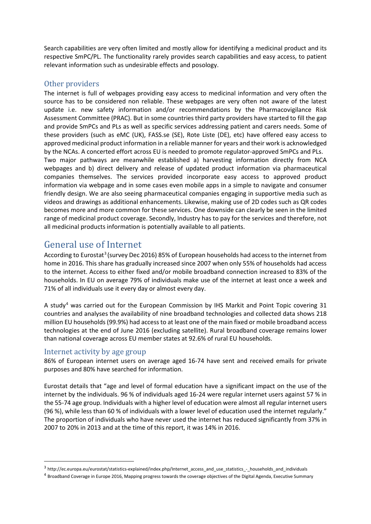Search capabilities are very often limited and mostly allow for identifying a medicinal product and its respective SmPC/PL. The functionality rarely provides search capabilities and easy access, to patient relevant information such as undesirable effects and posology.

### Other providers

The internet is full of webpages providing easy access to medicinal information and very often the source has to be considered non reliable. These webpages are very often not aware of the latest update i.e. new safety information and/or recommendations by the Pharmacovigilance Risk Assessment Committee (PRAC). But in some countries third party providers have started to fill the gap and provide SmPCs and PLs as well as specific services addressing patient and carers needs. Some of these providers (such as eMC (UK), FASS.se (SE), Rote Liste (DE), etc) have offered easy access to approved medicinal product information in a reliable manner for years and their work is acknowledged by the NCAs. A concerted effort across EU is needed to promote regulator-approved SmPCs and PLs. Two major pathways are meanwhile established a) harvesting information directly from NCA webpages and b) direct delivery and release of updated product information via pharmaceutical companies themselves. The services provided incorporate easy access to approved product information via webpage and in some cases even mobile apps in a simple to navigate and consumer friendly design. We are also seeing pharmaceutical companies engaging in supportive media such as videos and drawings as additional enhancements. Likewise, making use of 2D codes such as QR codes becomes more and more common for these services. One downside can clearly be seen in the limited range of medicinal product coverage. Secondly, Industry has to pay for the services and therefore, not all medicinal products information is potentially available to all patients.

## General use of Internet

According to Eurostat<sup>[3](#page-1-0)</sup> (survey Dec 2016) 85% of European households had access to the internet from home in 2016. This share has gradually increased since 2007 when only 55% of households had access to the internet. Access to either fixed and/or mobile broadband connection increased to 83% of the households. In EU on average 79% of individuals make use of the internet at least once a week and 71% of all individuals use it every day or almost every day.

A study<sup>[4](#page-1-1)</sup> was carried out for the European Commission by IHS Markit and Point Topic covering 31 countries and analyses the availability of nine broadband technologies and collected data shows 218 million EU households (99.9%) had access to at least one of the main fixed or mobile broadband access technologies at the end of June 2016 (excluding satellite). Rural broadband coverage remains lower than national coverage across EU member states at 92.6% of rural EU households.

#### Internet activity by age group

86% of European internet users on average aged 16-74 have sent and received emails for private purposes and 80% have searched for information.

Eurostat details that "age and level of formal education have a significant impact on the use of the internet by the individuals. 96 % of individuals aged 16-24 were regular internet users against 57 % in the 55-74 age group. Individuals with a higher level of education were almost all regular internet users (96 %), while less than 60 % of individuals with a lower level of education used the internet regularly." The proportion of individuals who have never used the internet has reduced significantly from 37% in 2007 to 20% in 2013 and at the time of this report, it was 14% in 2016.

<span id="page-1-0"></span> <sup>3</sup> http://ec.europa.eu/eurostat/statistics-explained/index.php/Internet\_access\_and\_use\_statistics\_-\_households\_and\_individuals

<span id="page-1-1"></span><sup>&</sup>lt;sup>4</sup> Broadband Coverage in Europe 2016, Mapping progress towards the coverage objectives of the Digital Agenda, Executive Summary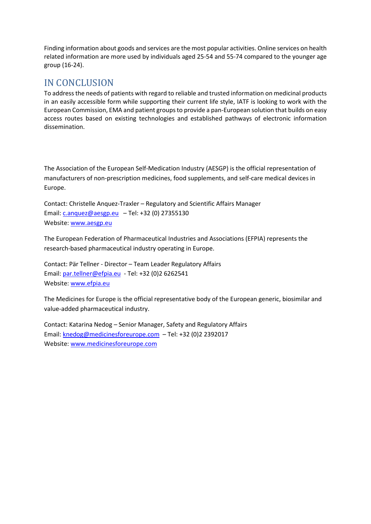Finding information about goods and services are the most popular activities. Online services on health related information are more used by individuals aged 25-54 and 55-74 compared to the younger age group (16-24).

## IN CONCLUSION

To address the needs of patients with regard to reliable and trusted information on medicinal products in an easily accessible form while supporting their current life style, IATF is looking to work with the European Commission, EMA and patient groups to provide a pan-European solution that builds on easy access routes based on existing technologies and established pathways of electronic information dissemination.

The Association of the European Self-Medication Industry (AESGP) is the official representation of manufacturers of non-prescription medicines, food supplements, and self-care medical devices in Europe.

Contact: Christelle Anquez-Traxler – Regulatory and Scientific Affairs Manager Email:  $c$ .anquez@aesgp.eu – Tel: +32 (0) 27355130 Website: [www.aesgp.eu](http://www.aesgp.eu/)

The European Federation of Pharmaceutical Industries and Associations (EFPIA) represents the research-based pharmaceutical industry operating in Europe.

Contact: Pär Tellner - Director – Team Leader Regulatory Affairs Email: [par.tellner@efpia.eu](mailto:par.tellner@efpia.eu) - Tel: +32 (0)2 6262541 Website: [www.efpia.eu](http://www.efpia.eu/)

The Medicines for Europe is the official representative body of the European generic, biosimilar and value-added pharmaceutical industry.

Contact: Katarina Nedog – Senior Manager, Safety and Regulatory Affairs Email: [knedog@medicinesforeurope.com](mailto:knedog@medicinesforeurope.com) – Tel: +32 (0)2 2392017 Website: [www.medicinesforeurope.com](http://www.medicinesforeurope.com/)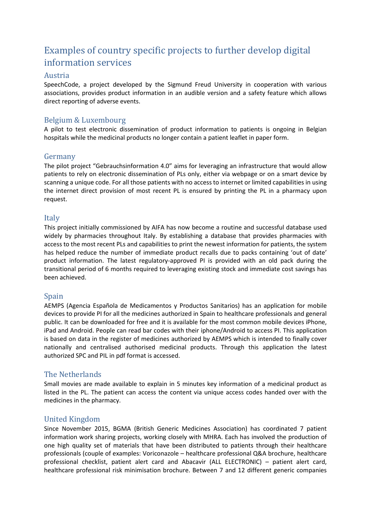## Examples of country specific projects to further develop digital information services

#### Austria

SpeechCode, a project developed by the Sigmund Freud University in cooperation with various associations, provides product information in an audible version and a safety feature which allows direct reporting of adverse events.

#### Belgium & Luxembourg

A pilot to test electronic dissemination of product information to patients is ongoing in Belgian hospitals while the medicinal products no longer contain a patient leaflet in paper form.

#### Germany

The pilot project "Gebrauchsinformation 4.0" aims for leveraging an infrastructure that would allow patients to rely on electronic dissemination of PLs only, either via webpage or on a smart device by scanning a unique code. For all those patients with no access to internet or limited capabilities in using the internet direct provision of most recent PL is ensured by printing the PL in a pharmacy upon request.

#### Italy

This project initially commissioned by AIFA has now become a routine and successful database used widely by pharmacies throughout Italy. By establishing a database that provides pharmacies with access to the most recent PLs and capabilities to print the newest information for patients, the system has helped reduce the number of immediate product recalls due to packs containing 'out of date' product information. The latest regulatory-approved PI is provided with an old pack during the transitional period of 6 months required to leveraging existing stock and immediate cost savings has been achieved.

#### Spain

AEMPS (Agencia Española de Medicamentos y Productos Sanitarios) has an application for mobile devices to provide PI for all the medicines authorized in Spain to healthcare professionals and general public. It can be downloaded for free and it is available for the most common mobile devices iPhone, iPad and Android. People can read bar codes with their iphone/Android to access PI. This application is based on data in the register of medicines authorized by AEMPS which is intended to finally cover nationally and centralised authorised medicinal products. Through this application the latest authorized SPC and PIL in pdf format is accessed.

#### The Netherlands

Small movies are made available to explain in 5 minutes key information of a medicinal product as listed in the PL. The patient can access the content via unique access codes handed over with the medicines in the pharmacy.

#### United Kingdom

Since November 2015, BGMA (British Generic Medicines Association) has coordinated 7 patient information work sharing projects, working closely with MHRA. Each has involved the production of one high quality set of materials that have been distributed to patients through their healthcare professionals (couple of examples: Voriconazole – healthcare professional Q&A brochure, healthcare professional checklist, patient alert card and Abacavir (ALL ELECTRONIC) – patient alert card, healthcare professional risk minimisation brochure. Between 7 and 12 different generic companies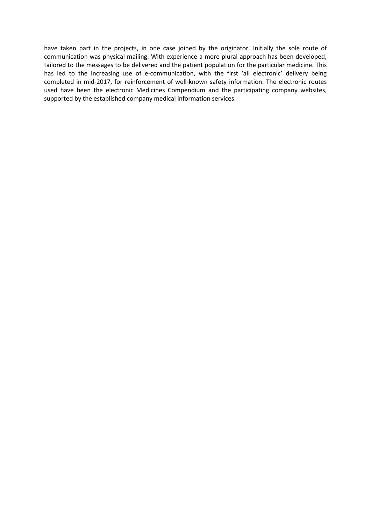have taken part in the projects, in one case joined by the originator. Initially the sole route of communication was physical mailing. With experience a more plural approach has been developed, tailored to the messages to be delivered and the patient population for the particular medicine. This has led to the increasing use of e-communication, with the first 'all electronic' delivery being completed in mid-2017, for reinforcement of well-known safety information. The electronic routes used have been the electronic Medicines Compendium and the participating company websites, supported by the established company medical information services.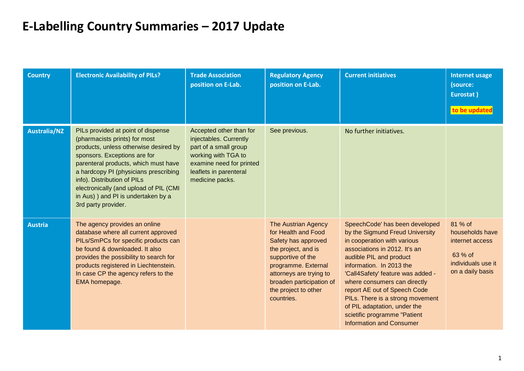# **E-Labelling Country Summaries – 2017 Update**

| <b>Country</b>      | <b>Electronic Availability of PILs?</b>                                                                                                                                                                                                                                                                                                                              | <b>Trade Association</b><br>position on E-Lab.                                                                                                                             | <b>Regulatory Agency</b><br>position on E-Lab.                                                                                                                                                                                           | <b>Current initiatives</b>                                                                                                                                                                                                                                                                                                                                                                                                           | <b>Internet usage</b><br>(source:<br>Eurostat)<br>to be updated                                    |
|---------------------|----------------------------------------------------------------------------------------------------------------------------------------------------------------------------------------------------------------------------------------------------------------------------------------------------------------------------------------------------------------------|----------------------------------------------------------------------------------------------------------------------------------------------------------------------------|------------------------------------------------------------------------------------------------------------------------------------------------------------------------------------------------------------------------------------------|--------------------------------------------------------------------------------------------------------------------------------------------------------------------------------------------------------------------------------------------------------------------------------------------------------------------------------------------------------------------------------------------------------------------------------------|----------------------------------------------------------------------------------------------------|
| <b>Australia/NZ</b> | PILs provided at point of dispense<br>(pharmacists prints) for most<br>products, unless otherwise desired by<br>sponsors. Exceptions are for<br>parenteral products, which must have<br>a hardcopy PI (physicians prescribing<br>info). Distribution of PILs<br>electronically (and upload of PIL (CMI<br>in Aus) ) and PI is undertaken by a<br>3rd party provider. | Accepted other than for<br>injectables. Currently<br>part of a small group<br>working with TGA to<br>examine need for printed<br>leaflets in parenteral<br>medicine packs. | See previous.                                                                                                                                                                                                                            | No further initiatives.                                                                                                                                                                                                                                                                                                                                                                                                              |                                                                                                    |
| <b>Austria</b>      | The agency provides an online<br>database where all current approved<br>PILs/SmPCs for specific products can<br>be found & downloaded. It also<br>provides the possibility to search for<br>products registered in Liechtenstein.<br>In case CP the agency refers to the<br>EMA homepage.                                                                            |                                                                                                                                                                            | <b>The Austrian Agency</b><br>for Health and Food<br>Safety has approved<br>the project, and is<br>supportive of the<br>programme. External<br>attorneys are trying to<br>broaden participation of<br>the project to other<br>countries. | SpeechCode' has been developed<br>by the Sigmund Freud University<br>in cooperation with various<br>associations in 2012. It's an<br>audible PIL and product<br>information. In 2013 the<br>'Call4Safety' feature was added -<br>where consumers can directly<br>report AE out of Speech Code<br>PILs. There is a strong movement<br>of PIL adaptation, under the<br>scietific programme "Patient<br><b>Information and Consumer</b> | 81 % of<br>households have<br>internet access<br>63 % of<br>individuals use it<br>on a daily basis |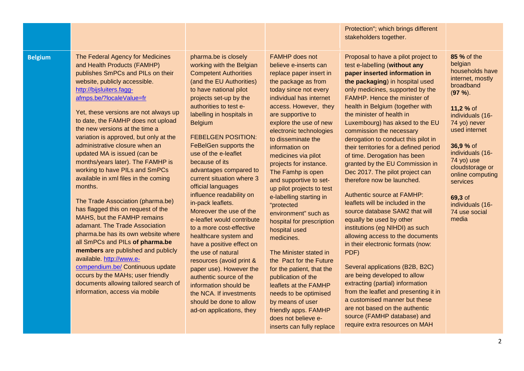#### Protection"; which brings different stakeholders together.

**Belgium** The Federal Agency for Medicines and Health Products (FAMHP) publishes SmPCs and PILs on their website, publicly accessible. [http://bijsluiters.fagg](http://bijsluiters.fagg-afmps.be/?localeValue=fr)[afmps.be/?localeValue=fr](http://bijsluiters.fagg-afmps.be/?localeValue=fr)

> Yet, these versions are not always up to date, the FAMHP does not upload the new versions at the time a variation is approved, but only at the administrative closure when an updated MA is issued (can be months/years later). The FAMHP is working to have PILs and SmPCs available in xml files in the coming months.

> The Trade Association (pharma.be) has flagged this on request of the MAHS, but the FAMHP remains adamant. The Trade Association pharma.be has its own website where all SmPCs and PILs **of pharma.be members** are published and publicly available. [http://www.e](http://www.e-compendium.be/)[compendium.be/](http://www.e-compendium.be/) Continuous update occurs by the MAHs; user friendly documents allowing tailored search of information, access via mobile

pharma.be is closely working with the Belgian Competent Authorities (and the EU Authorities) to have national pilot projects set-up by the authorities to test elabelling in hospitals in **Belgium** 

FEBELGEN POSITION: FeBelGen supports the use of the e-leaflet because of its advantages compared to current situation where 3 official languages influence readability on in-pack leaflets. Moreover the use of the e-leaflet would contribute to a more cost-effective healthcare system and have a positive effect on the use of natural resources (avoid print & paper use). However the authentic source of the information should be the NCA. If investments should be done to allow ad-on applications, they

FAMHP does not believe e-inserts can replace paper insert in the package as from today since not every individual has internet access. However, they are supportive to explore the use of new electronic technologies to disseminate the information on medicines via pilot projects for instance. The Famhp is open and supportive to setup pilot projects to test e-labelling starting in "protected environment" such as hospital for prescription hospital used medicines.

The Minister stated in the Pact for the Future for the patient, that the publication of the leaflets at the FAMHP needs to be optimised by means of user friendly apps. FAMHP does not believe einserts can fully replace

Proposal to have a pilot project to test e-labelling (**without any paper inserted information in the packaging**) in hospital used only medicines, supported by the FAMHP. Hence the minister of health in Belgium (together with the minister of health in Luxembourg) has aksed to the EU commission the necessary derogation to conduct this pilot in their territories for a defined period of time. Derogation has been granted by the EU Commission in Dec 2017. The pilot project can therefore now be launched.

Authentic source at FAMHP: leaflets will be included in the source database SAM2 that will equally be used by other institutions (eg NIHDI) as such allowing access to the documents in their electronic formats (now: PDF)

Several applications (B2B, B2C) are being developed to allow extracting (partial) information from the leaflet and presenting it in a customised manner but these are not based on the authentic source (FAMHP database) and require extra resources on MAH

**85 %** of the belgian households have internet, mostly broadband (**97 %**).

**11,2 %** of individuals (16- 74 yo) never used internet

**36,9 %** of individuals (16- 74 yo) use cloudstorage or online computing services

**69,3** of individuals (16- 74 use social media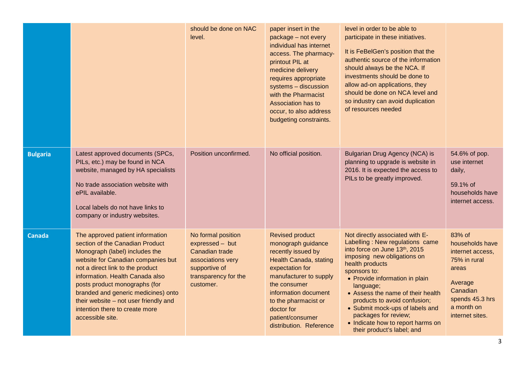|                 |                                                                                                                                                                                                                                                                                                                                                                                           | should be done on NAC<br>level.                                                                                                    | paper insert in the<br>package - not every<br>individual has internet<br>access. The pharmacy-<br>printout PIL at<br>medicine delivery<br>requires appropriate<br>systems - discussion<br>with the Pharmacist<br>Association has to<br>occur, to also address<br>budgeting constraints. | level in order to be able to<br>participate in these initiatives.<br>It is FeBelGen's position that the<br>authentic source of the information<br>should always be the NCA. If<br>investments should be done to<br>allow ad-on applications, they<br>should be done on NCA level and<br>so industry can avoid duplication<br>of resources needed                                                                         |                                                                                                                                                   |
|-----------------|-------------------------------------------------------------------------------------------------------------------------------------------------------------------------------------------------------------------------------------------------------------------------------------------------------------------------------------------------------------------------------------------|------------------------------------------------------------------------------------------------------------------------------------|-----------------------------------------------------------------------------------------------------------------------------------------------------------------------------------------------------------------------------------------------------------------------------------------|--------------------------------------------------------------------------------------------------------------------------------------------------------------------------------------------------------------------------------------------------------------------------------------------------------------------------------------------------------------------------------------------------------------------------|---------------------------------------------------------------------------------------------------------------------------------------------------|
| <b>Bulgaria</b> | Latest approved documents (SPCs,<br>PILs, etc.) may be found in NCA<br>website, managed by HA specialists<br>No trade association website with<br>ePIL available.<br>Local labels do not have links to<br>company or industry websites.                                                                                                                                                   | Position unconfirmed.                                                                                                              | No official position.                                                                                                                                                                                                                                                                   | <b>Bulgarian Drug Agency (NCA) is</b><br>planning to upgrade is website in<br>2016. It is expected the access to<br>PILs to be greatly improved.                                                                                                                                                                                                                                                                         | 54.6% of pop.<br>use internet<br>daily,<br>59.1% of<br>households have<br>internet access.                                                        |
| <b>Canada</b>   | The approved patient information<br>section of the Canadian Product<br>Monograph (label) includes the<br>website for Canadian companies but<br>not a direct link to the product<br>information. Health Canada also<br>posts product monographs (for<br>branded and generic medicines) onto<br>their website - not user friendly and<br>intention there to create more<br>accessible site. | No formal position<br>expressed - but<br>Canadian trade<br>associations very<br>supportive of<br>transparency for the<br>customer. | <b>Revised product</b><br>monograph guidance<br>recently issued by<br><b>Health Canada, stating</b><br>expectation for<br>manufacturer to supply<br>the consumer<br>information document<br>to the pharmacist or<br>doctor for<br>patient/consumer<br>distribution. Reference           | Not directly associated with E-<br>Labelling : New regulations came<br>into force on June 13th, 2015<br>imposing new obligations on<br>health products<br>sponsors to:<br>• Provide information in plain<br>language;<br>• Assess the name of their health<br>products to avoid confusion;<br>• Submit mock-ups of labels and<br>packages for review;<br>• Indicate how to report harms on<br>their product's label; and | 83% of<br>households have<br>internet access,<br>75% in rural<br>areas<br>Average<br>Canadian<br>spends 45.3 hrs<br>a month on<br>internet sites. |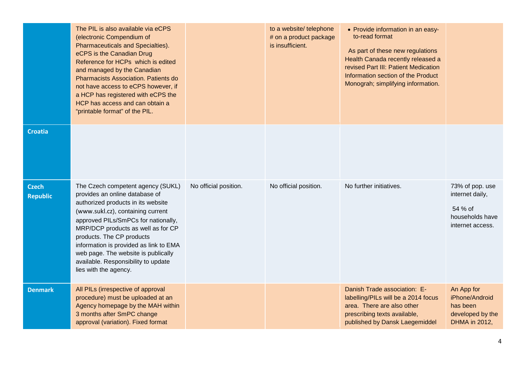|                                 | The PIL is also available via eCPS<br>(electronic Compendium of<br>Pharmaceuticals and Specialties).<br>eCPS is the Canadian Drug<br>Reference for HCPs which is edited<br>and managed by the Canadian<br><b>Pharmacists Association. Patients do</b><br>not have access to eCPS however, if<br>a HCP has registered with eCPS the<br>HCP has access and can obtain a<br>"printable format" of the PIL.   |                       | to a website/ telephone<br># on a product package<br>is insufficient. | • Provide information in an easy-<br>to-read format<br>As part of these new regulations<br>Health Canada recently released a<br>revised Part III: Patient Medication<br>Information section of the Product<br>Monograh; simplifying information. |                                                                                      |
|---------------------------------|-----------------------------------------------------------------------------------------------------------------------------------------------------------------------------------------------------------------------------------------------------------------------------------------------------------------------------------------------------------------------------------------------------------|-----------------------|-----------------------------------------------------------------------|--------------------------------------------------------------------------------------------------------------------------------------------------------------------------------------------------------------------------------------------------|--------------------------------------------------------------------------------------|
| <b>Croatia</b>                  |                                                                                                                                                                                                                                                                                                                                                                                                           |                       |                                                                       |                                                                                                                                                                                                                                                  |                                                                                      |
| <b>Czech</b><br><b>Republic</b> | The Czech competent agency (SUKL)<br>provides an online database of<br>authorized products in its website<br>(www.sukl.cz), containing current<br>approved PILs/SmPCs for nationally,<br>MRP/DCP products as well as for CP<br>products. The CP products<br>information is provided as link to EMA<br>web page. The website is publically<br>available. Responsibility to update<br>lies with the agency. | No official position. | No official position.                                                 | No further initiatives.                                                                                                                                                                                                                          | 73% of pop. use<br>internet daily,<br>54 % of<br>households have<br>internet access. |
| <b>Denmark</b>                  | All PILs (irrespective of approval<br>procedure) must be uploaded at an<br>Agency homepage by the MAH within<br>3 months after SmPC change<br>approval (variation). Fixed format                                                                                                                                                                                                                          |                       |                                                                       | Danish Trade association: E-<br>labelling/PILs will be a 2014 focus<br>area. There are also other<br>prescribing texts available,<br>published by Dansk Laegemiddel                                                                              | An App for<br>iPhone/Android<br>has been<br>developed by the<br>DHMA in 2012,        |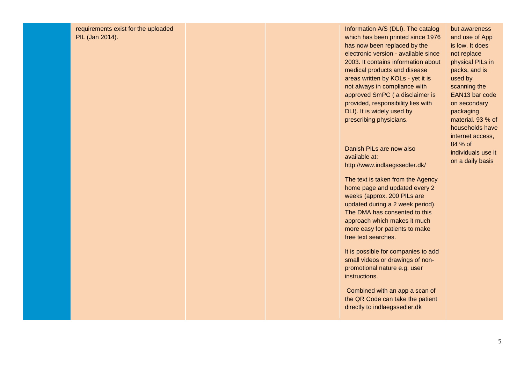requirements exist for the uploaded PIL (Jan 2014).

Information A/S (DLI). The catalog which has been printed since 1976 has now been replaced by the electronic version - available since 2003. It contains information about medical products and disease areas written by KOLs - yet it is not always in compliance with approved SmPC ( a disclaimer is provided, responsibility lies with DLI). It is widely used by prescribing physicians.

Danish PILs are now also available at: http://www.indlaegssedler.dk/

The text is taken from the Agency home page and updated every 2 weeks (approx. 200 PILs are updated during a 2 week period). The DMA has consented to this approach which makes it much more easy for patients to make free text searches.

It is possible for companies to add small videos or drawings of non promotional nature e.g. user instructions.

Combined with an app a scan of the QR Code can take the patient directly to indlaegssedler.dk

but awareness and use of App is low. It does not replace physical PILs in packs, and is used by scanning the EAN13 bar code on secondary packaging material. 93 % of households have internet access, 84 % of individuals use it on a daily basis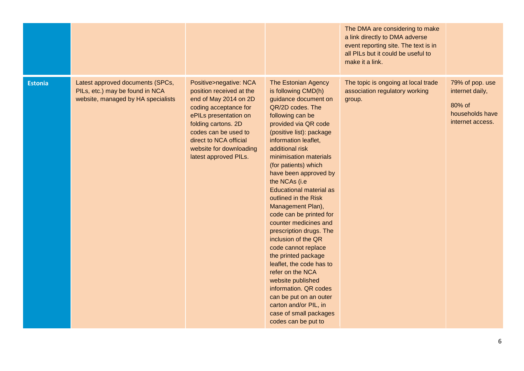|                |                                                                                                           |                                                                                                                                                                                                                                                            |                                                                                                                                                                                                                                                                                                                                                                                                                                                                                                                                                                                                                                                                                                                                                   | The DMA are considering to make<br>a link directly to DMA adverse<br>event reporting site. The text is in<br>all PILs but it could be useful to<br>make it a link. |                                                                                     |
|----------------|-----------------------------------------------------------------------------------------------------------|------------------------------------------------------------------------------------------------------------------------------------------------------------------------------------------------------------------------------------------------------------|---------------------------------------------------------------------------------------------------------------------------------------------------------------------------------------------------------------------------------------------------------------------------------------------------------------------------------------------------------------------------------------------------------------------------------------------------------------------------------------------------------------------------------------------------------------------------------------------------------------------------------------------------------------------------------------------------------------------------------------------------|--------------------------------------------------------------------------------------------------------------------------------------------------------------------|-------------------------------------------------------------------------------------|
| <b>Estonia</b> | Latest approved documents (SPCs,<br>PILs, etc.) may be found in NCA<br>website, managed by HA specialists | Positive>negative: NCA<br>position received at the<br>end of May 2014 on 2D<br>coding acceptance for<br>ePILs presentation on<br>folding cartons. 2D<br>codes can be used to<br>direct to NCA official<br>website for downloading<br>latest approved PILs. | <b>The Estonian Agency</b><br>is following CMD(h)<br>guidance document on<br>QR/2D codes. The<br>following can be<br>provided via QR code<br>(positive list): package<br>information leaflet,<br>additional risk<br>minimisation materials<br>(for patients) which<br>have been approved by<br>the NCAs (i.e<br><b>Educational material as</b><br>outlined in the Risk<br>Management Plan),<br>code can be printed for<br>counter medicines and<br>prescription drugs. The<br>inclusion of the QR<br>code cannot replace<br>the printed package<br>leaflet, the code has to<br>refer on the NCA<br>website published<br>information. QR codes<br>can be put on an outer<br>carton and/or PIL, in<br>case of small packages<br>codes can be put to | The topic is ongoing at local trade<br>association regulatory working<br>group.                                                                                    | 79% of pop. use<br>internet daily,<br>80% of<br>households have<br>internet access. |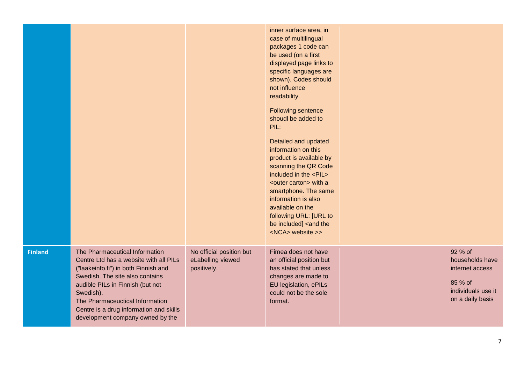|                |                                                                                                                                                                                                                                                                                                                        |                                                              | inner surface area, in<br>case of multilingual<br>packages 1 code can<br>be used (on a first<br>displayed page links to<br>specific languages are<br>shown). Codes should<br>not influence<br>readability.<br><b>Following sentence</b><br>shoudl be added to<br>PIL:<br>Detailed and updated<br>information on this<br>product is available by<br>scanning the QR Code<br>included in the <pil><br/><outer carton=""> with a<br/>smartphone. The same<br/>information is also<br/>available on the<br/>following URL: [URL to<br/>be included] <and the<br=""><nca> website &gt;&gt;</nca></and></outer></pil> |                                                                                                    |
|----------------|------------------------------------------------------------------------------------------------------------------------------------------------------------------------------------------------------------------------------------------------------------------------------------------------------------------------|--------------------------------------------------------------|-----------------------------------------------------------------------------------------------------------------------------------------------------------------------------------------------------------------------------------------------------------------------------------------------------------------------------------------------------------------------------------------------------------------------------------------------------------------------------------------------------------------------------------------------------------------------------------------------------------------|----------------------------------------------------------------------------------------------------|
| <b>Finland</b> | The Pharmaceutical Information<br>Centre Ltd has a website with all PILs<br>("laakeinfo.fi") in both Finnish and<br>Swedish. The site also contains<br>audible PILs in Finnish (but not<br>Swedish).<br>The Pharmaceuctical Information<br>Centre is a drug information and skills<br>development company owned by the | No official position but<br>eLabelling viewed<br>positively. | Fimea does not have<br>an official position but<br>has stated that unless<br>changes are made to<br>EU legislation, ePILs<br>could not be the sole<br>format.                                                                                                                                                                                                                                                                                                                                                                                                                                                   | 92 % of<br>households have<br>internet access<br>85 % of<br>individuals use it<br>on a daily basis |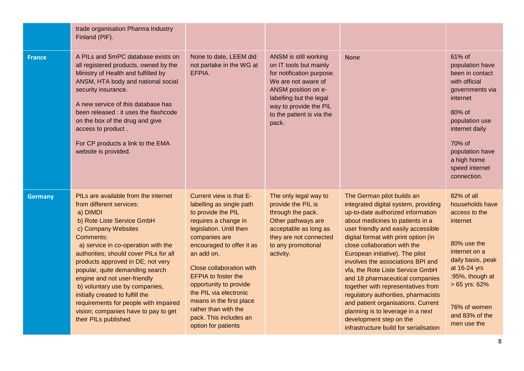|                | trade organisation Pharma Industry<br>Finland (PIF).                                                                                                                                                                                                                                                                                                                                                                                                                                                                   |                                                                                                                                                                                                                                                                                                                                                                                                             |                                                                                                                                                                                                                       |                                                                                                                                                                                                                                                                                                                                                                                                                                                                                                                                                                                                                                        |                                                                                                                                                                                                                          |
|----------------|------------------------------------------------------------------------------------------------------------------------------------------------------------------------------------------------------------------------------------------------------------------------------------------------------------------------------------------------------------------------------------------------------------------------------------------------------------------------------------------------------------------------|-------------------------------------------------------------------------------------------------------------------------------------------------------------------------------------------------------------------------------------------------------------------------------------------------------------------------------------------------------------------------------------------------------------|-----------------------------------------------------------------------------------------------------------------------------------------------------------------------------------------------------------------------|----------------------------------------------------------------------------------------------------------------------------------------------------------------------------------------------------------------------------------------------------------------------------------------------------------------------------------------------------------------------------------------------------------------------------------------------------------------------------------------------------------------------------------------------------------------------------------------------------------------------------------------|--------------------------------------------------------------------------------------------------------------------------------------------------------------------------------------------------------------------------|
| <b>France</b>  | A PILs and SmPC database exists on<br>all registered products, owned by the<br>Ministry of Health and fulfilled by<br>ANSM, HTA body and national social<br>security insurance.<br>A new service of this database has<br>been released : it uses the flashcode<br>on the box of the drug and give<br>access to product.<br>For CP products a link to the EMA<br>website is provided.                                                                                                                                   | None to date, LEEM did<br>not partake in the WG at<br>EFPIA.                                                                                                                                                                                                                                                                                                                                                | ANSM is still working<br>on IT tools but mainly<br>for notification purpose.<br>We are not aware of<br>ANSM position on e-<br>labelling but the legal<br>way to provide the PIL<br>to the patient is via the<br>pack. | <b>None</b>                                                                                                                                                                                                                                                                                                                                                                                                                                                                                                                                                                                                                            | 61% of<br>population have<br>been in contact<br>with official<br>governments via<br>internet<br>80% of<br>population use<br>internet daily<br>70% of<br>population have<br>a high home<br>speed internet<br>connection.  |
| <b>Germany</b> | PILs are available from the internet<br>from different services:<br>a) DIMDI<br>b) Rote Liste Service GmbH<br>c) Company Websites<br>Comments:<br>a) service in co-operation with the<br>authorities; should cover PILs for all<br>products approved in DE; not very<br>popular, quite demanding search<br>engine and not user-friendly<br>b) voluntary use by companies,<br>initially created to fulfill the<br>requirements for people with impaired<br>vision; companies have to pay to get<br>their PILs published | Current view is that E-<br>labelling as single path<br>to provide the PIL<br>requires a change in<br>legislation. Until then<br>companies are<br>encouraged to offer it as<br>an add on.<br>Close collaboration with<br><b>EFPIA to foster the</b><br>opportunity to provide<br>the PIL via electronic<br>means in the first place<br>rather than with the<br>pack. This includes an<br>option for patients | The only legal way to<br>provide the PIL is<br>through the pack.<br>Other pathways are<br>acceptable as long as<br>they are not connected<br>to any promotional<br>activity.                                          | The German pilot builds an<br>integrated digital system, providing<br>up-to-date authorized information<br>about medicines to patients in a<br>user friendly and easily accessible<br>digital format with print option (in<br>close collaboration with the<br>European initiative). The pilot<br>involves the associations BPI and<br>vfa, the Rote Liste Service GmbH<br>and 18 pharmaceutical companies<br>together with representatives from<br>regulatory authorities, pharmacists<br>and patient organisations. Current<br>planning is to leverage in a next<br>development step on the<br>infrastructure build for serialisation | 82% of all<br>households have<br>access to the<br>internet<br>80% use the<br>internet on a<br>daily basis, peak<br>at 16-24 yrs<br>:95%, though at<br>$> 65$ yrs: $62%$<br>76% of women<br>and 83% of the<br>men use the |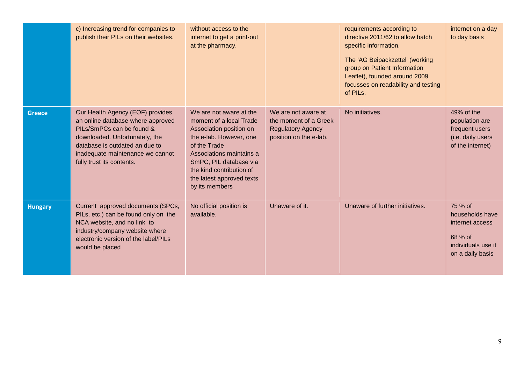|                | c) Increasing trend for companies to<br>publish their PILs on their websites.                                                                                                                                                           | without access to the<br>internet to get a print-out<br>at the pharmacy.                                                                                                                                                                                  |                                                                                                    | requirements according to<br>directive 2011/62 to allow batch<br>specific information.<br>The 'AG Beipackzettel' (working<br>group on Patient Information<br>Leaflet), founded around 2009<br>focusses on readability and testing<br>of PILs. | internet on a day<br>to day basis                                                                  |
|----------------|-----------------------------------------------------------------------------------------------------------------------------------------------------------------------------------------------------------------------------------------|-----------------------------------------------------------------------------------------------------------------------------------------------------------------------------------------------------------------------------------------------------------|----------------------------------------------------------------------------------------------------|-----------------------------------------------------------------------------------------------------------------------------------------------------------------------------------------------------------------------------------------------|----------------------------------------------------------------------------------------------------|
| <b>Greece</b>  | Our Health Agency (EOF) provides<br>an online database where approved<br>PILs/SmPCs can be found &<br>downloaded. Unfortunately, the<br>database is outdated an due to<br>inadequate maintenance we cannot<br>fully trust its contents. | We are not aware at the<br>moment of a local Trade<br>Association position on<br>the e-lab. However, one<br>of the Trade<br>Associations maintains a<br>SmPC, PIL database via<br>the kind contribution of<br>the latest approved texts<br>by its members | We are not aware at<br>the moment of a Greek<br><b>Regulatory Agency</b><br>position on the e-lab. | No initiatives.                                                                                                                                                                                                                               | 49% of the<br>population are<br>frequent users<br>(i.e. daily users<br>of the internet)            |
| <b>Hungary</b> | Current approved documents (SPCs,<br>PILs, etc.) can be found only on the<br>NCA website, and no link to<br>industry/company website where<br>electronic version of the label/PILs<br>would be placed                                   | No official position is<br>available.                                                                                                                                                                                                                     | Unaware of it.                                                                                     | Unaware of further initiatives.                                                                                                                                                                                                               | 75 % of<br>households have<br>internet access<br>68 % of<br>individuals use it<br>on a daily basis |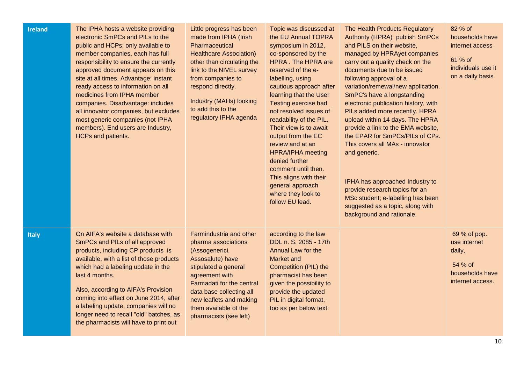| <b>Ireland</b> | The IPHA hosts a website providing<br>electronic SmPCs and PILs to the<br>public and HCPs; only available to<br>member companies, each has full<br>responsibility to ensure the currently<br>approved document appears on this<br>site at all times. Advantage: instant<br>ready access to information on all<br>medicines from IPHA member<br>companies. Disadvantage: includes<br>all innovator companies, but excludes<br>most generic companies (not IPHA<br>members). End users are Industry,<br>HCPs and patients. | Little progress has been<br>made from IPHA (Irish<br>Pharmaceutical<br><b>Healthcare Association)</b><br>other than circulating the<br>link to the NIVEL survey<br>from companies to<br>respond directly.<br>Industry (MAHs) looking<br>to add this to the<br>regulatory IPHA agenda | Topic was discussed at<br>the EU Annual TOPRA<br>symposium in 2012,<br>co-sponsored by the<br>HPRA. The HPRA are<br>reserved of the e-<br>labelling, using<br>cautious approach after<br>learning that the User<br>Testing exercise had<br>not resolved issues of<br>readability of the PIL.<br>Their view is to await<br>output from the EC<br>review and at an<br><b>HPRA/IPHA</b> meeting<br>denied further<br>comment until then.<br>This aligns with their<br>general approach<br>where they look to<br>follow EU lead. | The Health Products Regulatory<br>Authority (HPRA) publish SmPCs<br>and PILS on their website,<br>managed by HPRAyet companies<br>carry out a quality check on the<br>documents due to be issued<br>following approval of a<br>variation/remewal/new application.<br>SmPC's have a longstanding<br>electronic publication history, with<br>PILs added more recently. HPRA<br>upload within 14 days. The HPRA<br>provide a link to the EMA website,<br>the EPAR for SmPCs/PILs of CPs.<br>This covers all MAs - innovator<br>and generic.<br>IPHA has approached Industry to<br>provide research topics for an<br>MSc student; e-labelling has been<br>suggested as a topic, along with<br>background and rationale. | 82 % of<br>households have<br>internet access<br>61 % of<br>individuals use it<br>on a daily basis |
|----------------|--------------------------------------------------------------------------------------------------------------------------------------------------------------------------------------------------------------------------------------------------------------------------------------------------------------------------------------------------------------------------------------------------------------------------------------------------------------------------------------------------------------------------|--------------------------------------------------------------------------------------------------------------------------------------------------------------------------------------------------------------------------------------------------------------------------------------|------------------------------------------------------------------------------------------------------------------------------------------------------------------------------------------------------------------------------------------------------------------------------------------------------------------------------------------------------------------------------------------------------------------------------------------------------------------------------------------------------------------------------|---------------------------------------------------------------------------------------------------------------------------------------------------------------------------------------------------------------------------------------------------------------------------------------------------------------------------------------------------------------------------------------------------------------------------------------------------------------------------------------------------------------------------------------------------------------------------------------------------------------------------------------------------------------------------------------------------------------------|----------------------------------------------------------------------------------------------------|
| <b>Italy</b>   | On AIFA's website a database with<br>SmPCs and PILs of all approved<br>products, including CP products is<br>available, with a list of those products<br>which had a labeling update in the<br>last 4 months.<br>Also, according to AIFA's Provision<br>coming into effect on June 2014, after<br>a labeling update, companies will no<br>longer need to recall "old" batches, as<br>the pharmacists will have to print out                                                                                              | Farmindustria and other<br>pharma associations<br>(Assogenerici,<br>Assosalute) have<br>stipulated a general<br>agreement with<br>Farmadati for the central<br>data base collecting all<br>new leaflets and making<br>them available ot the<br>pharmacists (see left)                | according to the law<br>DDL n. S. 2085 - 17th<br>Annual Law for the<br>Market and<br>Competition (PIL) the<br>pharmacist has been<br>given the possibility to<br>provide the updated<br>PIL in digital format,<br>too as per below text:                                                                                                                                                                                                                                                                                     |                                                                                                                                                                                                                                                                                                                                                                                                                                                                                                                                                                                                                                                                                                                     | 69 % of pop.<br>use internet<br>daily,<br>54 % of<br>households have<br>internet access.           |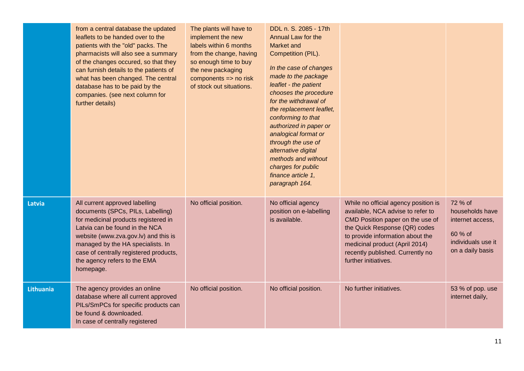|                  | from a central database the updated<br>leaflets to be handed over to the<br>patients with the "old" packs. The<br>pharmacists will also see a summary<br>of the changes occured, so that they<br>can furnish details to the patients of<br>what has been changed. The central<br>database has to be paid by the<br>companies. (see next column for<br>further details) | The plants will have to<br>implement the new<br>labels within 6 months<br>from the change, having<br>so enough time to buy<br>the new packaging<br>components $\Rightarrow$ no risk<br>of stock out situations. | DDL n. S. 2085 - 17th<br>Annual Law for the<br><b>Market and</b><br>Competition (PIL).<br>In the case of changes<br>made to the package<br>leaflet - the patient<br>chooses the procedure<br>for the withdrawal of<br>the replacement leaflet,<br>conforming to that<br>authorized in paper or<br>analogical format or<br>through the use of<br>alternative digital<br>methods and without<br>charges for public<br>finance article 1,<br>paragraph 164. |                                                                                                                                                                                                                                                                                  |                                                                                                     |
|------------------|------------------------------------------------------------------------------------------------------------------------------------------------------------------------------------------------------------------------------------------------------------------------------------------------------------------------------------------------------------------------|-----------------------------------------------------------------------------------------------------------------------------------------------------------------------------------------------------------------|----------------------------------------------------------------------------------------------------------------------------------------------------------------------------------------------------------------------------------------------------------------------------------------------------------------------------------------------------------------------------------------------------------------------------------------------------------|----------------------------------------------------------------------------------------------------------------------------------------------------------------------------------------------------------------------------------------------------------------------------------|-----------------------------------------------------------------------------------------------------|
| <b>Latvia</b>    | All current approved labelling<br>documents (SPCs, PILs, Labelling)<br>for medicinal products registered in<br>Latvia can be found in the NCA<br>website (www.zva.gov.lv) and this is<br>managed by the HA specialists. In<br>case of centrally registered products,<br>the agency refers to the EMA<br>homepage.                                                      | No official position.                                                                                                                                                                                           | No official agency<br>position on e-labelling<br>is available.                                                                                                                                                                                                                                                                                                                                                                                           | While no official agency position is<br>available, NCA advise to refer to<br>CMD Position paper on the use of<br>the Quick Response (QR) codes<br>to provide information about the<br>medicinal product (April 2014)<br>recently published. Currently no<br>further initiatives. | 72 % of<br>households have<br>internet access,<br>60 % of<br>individuals use it<br>on a daily basis |
| <b>Lithuania</b> | The agency provides an online<br>database where all current approved<br>PILs/SmPCs for specific products can<br>be found & downloaded.<br>In case of centrally registered                                                                                                                                                                                              | No official position.                                                                                                                                                                                           | No official position.                                                                                                                                                                                                                                                                                                                                                                                                                                    | No further initiatives.                                                                                                                                                                                                                                                          | 53 % of pop. use<br>internet daily,                                                                 |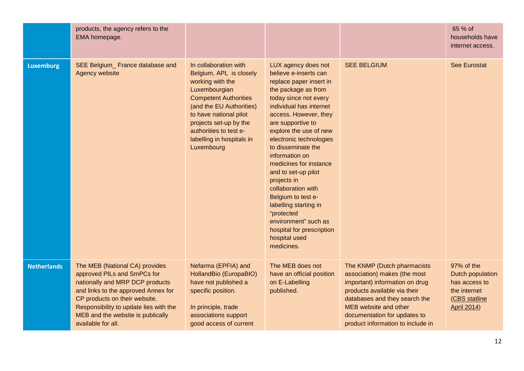|                    | products, the agency refers to the<br>EMA homepage.                                                                                                                                                                                                                           |                                                                                                                                                                                                                                                                            |                                                                                                                                                                                                                                                                                                                                                                                                                                                                                                                                      |                                                                                                                                                                                                                                                              | 65 % of<br>households have<br>internet access.                                                         |
|--------------------|-------------------------------------------------------------------------------------------------------------------------------------------------------------------------------------------------------------------------------------------------------------------------------|----------------------------------------------------------------------------------------------------------------------------------------------------------------------------------------------------------------------------------------------------------------------------|--------------------------------------------------------------------------------------------------------------------------------------------------------------------------------------------------------------------------------------------------------------------------------------------------------------------------------------------------------------------------------------------------------------------------------------------------------------------------------------------------------------------------------------|--------------------------------------------------------------------------------------------------------------------------------------------------------------------------------------------------------------------------------------------------------------|--------------------------------------------------------------------------------------------------------|
| <b>Luxemburg</b>   | SEE Belgium_ France database and<br>Agency website                                                                                                                                                                                                                            | In collaboration with<br>Belgium, APL is closely<br>working with the<br>Luxembourgian<br><b>Competent Authorities</b><br>(and the EU Authorities)<br>to have national pilot<br>projects set-up by the<br>authorities to test e-<br>labelling in hospitals in<br>Luxembourg | LUX agency does not<br>believe e-inserts can<br>replace paper insert in<br>the package as from<br>today since not every<br>individual has internet<br>access. However, they<br>are supportive to<br>explore the use of new<br>electronic technologies<br>to disseminate the<br>information on<br>medicines for instance<br>and to set-up pilot<br>projects in<br>collaboration with<br>Belgium to test e-<br>labelling starting in<br>"protected<br>environment" such as<br>hospital for prescription<br>hospital used<br>medicines. | <b>SEE BELGIUM</b>                                                                                                                                                                                                                                           | <b>See Eurostat</b>                                                                                    |
| <b>Netherlands</b> | The MEB (National CA) provides<br>approved PILs and SmPCs for<br>nationally and MRP DCP products<br>and links to the approved Annex for<br>CP products on their website.<br>Responsibility to update lies with the<br>MEB and the website is publically<br>available for all. | Nefarma (EPFIA) and<br>HollandBio (EuropaBIO)<br>have not published a<br>specific position.<br>In principle, trade<br>associations support<br>good access of current                                                                                                       | The MEB does not<br>have an official position<br>on E-Labelling<br>published.                                                                                                                                                                                                                                                                                                                                                                                                                                                        | The KNMP (Dutch pharmacists<br>association) makes (the most<br>important) information on drug<br>products available via their<br>databases and they search the<br>MEB website and other<br>documentation for updates to<br>product information to include in | 97% of the<br>Dutch population<br>has access to<br>the internet<br>(CBS statline<br><b>April 2014)</b> |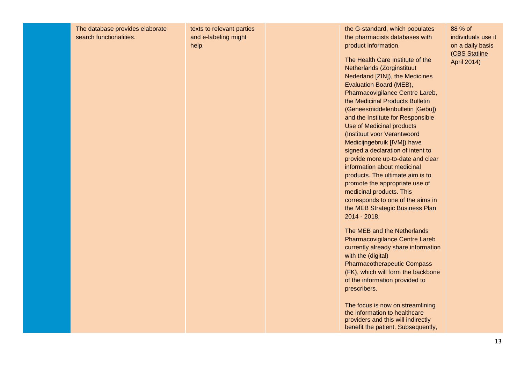The database provides elaborate search functionalities.

texts to relevant parties and e-labeling might help.

the G-standard, which populates the pharmacists databases with product information.

The Health Care Institute of the Netherlands (Zorginstituut Nederland [ZIN]), the Medicines Evaluation Board (MEB), Pharmacovigilance Centre Lareb, the Medicinal Products Bulletin (Geneesmiddelenbulletin [Gebu]) and the Institute for Responsible Use of Medicinal products (Instituut voor Verantwoord Medicijngebruik [IVM]) have signed a declaration of intent to provide more up-to-date and clear information about medicinal products. The ultimate aim is to promote the appropriate use of medicinal products. This corresponds to one of the aims in the MEB Strategic Business Plan 2014 - 2018.

The MEB and the Netherlands Pharmacovigilance Centre Lareb currently already share information with the (digital) Pharmacotherapeutic Compass (FK), which will form the backbone of the information provided to prescribers.

The focus is now on streamlining the information to healthcare providers and this will indirectly benefit the patient. Subsequently, 88 % of individuals use it on a daily basis [\(CBS Statline](http://statline.cbs.nl/Statweb/publication/?DM=SLNL&PA=71098NED&D1=33%2c65-77&D2=0-2&D3=a&HDR=G1&STB=T%2cG2&VW=T)  [April 2014\)](http://statline.cbs.nl/Statweb/publication/?DM=SLNL&PA=71098NED&D1=33%2c65-77&D2=0-2&D3=a&HDR=G1&STB=T%2cG2&VW=T)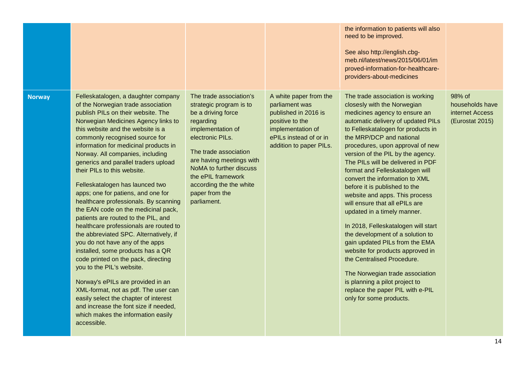|               |                                                                                                                                                                                                                                                                                                                                                                                                                                                                                                                                                                                                                                                                                                                                                                                                                                                                                                                                                                                                                                       |                                                                                                                                                                                                                                                                                                  |                                                                                                                                                               | the information to patients will also<br>need to be improved.<br>See also http://english.cbg-<br>meb.nl/latest/news/2015/06/01/im<br>proved-information-for-healthcare-<br>providers-about-medicines                                                                                                                                                                                                                                                                                                                                                                                                                                                                                                                                                                                                                                               |                                                                 |
|---------------|---------------------------------------------------------------------------------------------------------------------------------------------------------------------------------------------------------------------------------------------------------------------------------------------------------------------------------------------------------------------------------------------------------------------------------------------------------------------------------------------------------------------------------------------------------------------------------------------------------------------------------------------------------------------------------------------------------------------------------------------------------------------------------------------------------------------------------------------------------------------------------------------------------------------------------------------------------------------------------------------------------------------------------------|--------------------------------------------------------------------------------------------------------------------------------------------------------------------------------------------------------------------------------------------------------------------------------------------------|---------------------------------------------------------------------------------------------------------------------------------------------------------------|----------------------------------------------------------------------------------------------------------------------------------------------------------------------------------------------------------------------------------------------------------------------------------------------------------------------------------------------------------------------------------------------------------------------------------------------------------------------------------------------------------------------------------------------------------------------------------------------------------------------------------------------------------------------------------------------------------------------------------------------------------------------------------------------------------------------------------------------------|-----------------------------------------------------------------|
| <b>Norway</b> | Felleskatalogen, a daughter company<br>of the Norwegian trade association<br>publish PILs on their website. The<br>Norwegian Medicines Agency links to<br>this website and the website is a<br>commonly recognised source for<br>information for medicinal products in<br>Norway. All companies, including<br>generics and parallel traders upload<br>their PILs to this website.<br>Felleskatalogen has launced two<br>apps; one for patiens, and one for<br>healthcare professionals. By scanning<br>the EAN code on the medicinal pack,<br>patients are routed to the PIL, and<br>healthcare professionals are routed to<br>the abbreviated SPC. Alternatively, if<br>you do not have any of the apps<br>installed, some products has a QR<br>code printed on the pack, directing<br>you to the PIL's website.<br>Norway's ePILs are provided in an<br>XML-format, not as pdf. The user can<br>easily select the chapter of interest<br>and increase the font size if needed,<br>which makes the information easily<br>accessible. | The trade association's<br>strategic program is to<br>be a driving force<br>regarding<br>implementation of<br>electronic PILs.<br>The trade association<br>are having meetings with<br>NoMA to further discuss<br>the ePIL framework<br>according the the white<br>paper from the<br>parliament. | A white paper from the<br>parliament was<br>published in 2016 is<br>positive to the<br>implementation of<br>ePILs instead of or in<br>addition to paper PILs. | The trade association is working<br>closesly with the Norwegian<br>medicines agency to ensure an<br>automatic delivery of updated PILs<br>to Felleskatalogen for products in<br>the MRP/DCP and national<br>procedures, upon approval of new<br>version of the PIL by the agency.<br>The PILs will be delivered in PDF<br>format and Felleskatalogen will<br>convert the information to XML<br>before it is published to the<br>website and apps. This process<br>will ensure that all ePILs are<br>updated in a timely manner.<br>In 2018, Felleskatalogen will start<br>the development of a solution to<br>gain updated PILs from the EMA<br>website for products approved in<br>the Centralised Procedure.<br>The Norwegian trade association<br>is planning a pilot project to<br>replace the paper PIL with e-PIL<br>only for some products. | 98% of<br>households have<br>internet Access<br>(Eurostat 2015) |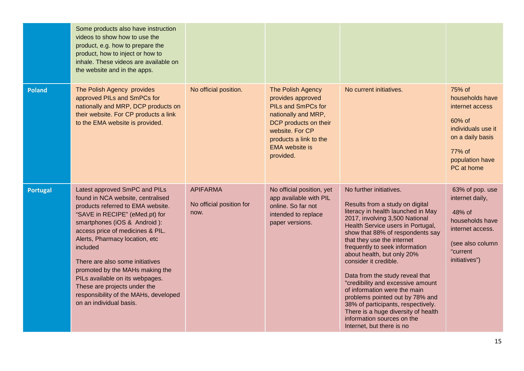|                 | Some products also have instruction<br>videos to show how to use the<br>product, e.g. how to prepare the<br>product, how to inject or how to<br>inhale. These videos are available on<br>the website and in the apps.                                                                                                                                                                                                                                                    |                                                     |                                                                                                                                                                                                        |                                                                                                                                                                                                                                                                                                                                                                                                                                                                                                                                                                                                                       |                                                                                                                                             |
|-----------------|--------------------------------------------------------------------------------------------------------------------------------------------------------------------------------------------------------------------------------------------------------------------------------------------------------------------------------------------------------------------------------------------------------------------------------------------------------------------------|-----------------------------------------------------|--------------------------------------------------------------------------------------------------------------------------------------------------------------------------------------------------------|-----------------------------------------------------------------------------------------------------------------------------------------------------------------------------------------------------------------------------------------------------------------------------------------------------------------------------------------------------------------------------------------------------------------------------------------------------------------------------------------------------------------------------------------------------------------------------------------------------------------------|---------------------------------------------------------------------------------------------------------------------------------------------|
| <b>Poland</b>   | The Polish Agency provides<br>approved PILs and SmPCs for<br>nationally and MRP, DCP products on<br>their website. For CP products a link<br>to the EMA website is provided.                                                                                                                                                                                                                                                                                             | No official position.                               | The Polish Agency<br>provides approved<br><b>PILs and SmPCs for</b><br>nationally and MRP,<br>DCP products on their<br>website. For CP<br>products a link to the<br><b>EMA</b> website is<br>provided. | No current initiatives.                                                                                                                                                                                                                                                                                                                                                                                                                                                                                                                                                                                               | 75% of<br>households have<br>internet access<br>60% of<br>individuals use it<br>on a daily basis<br>77% of<br>population have<br>PC at home |
| <b>Portugal</b> | Latest approved SmPC and PILs<br>found in NCA website, centralised<br>products referred to EMA website.<br>"SAVE in RECIPE" (eMed.pt) for<br>smartphones (iOS & Android):<br>access price of medicines & PIL.<br>Alerts, Pharmacy location, etc<br>included<br>There are also some initiatives<br>promoted by the MAHs making the<br>PILs available on its webpages.<br>These are projects under the<br>responsibility of the MAHs, developed<br>on an individual basis. | <b>APIFARMA</b><br>No official position for<br>now. | No official position, yet<br>app available with PIL<br>online. So far not<br>intended to replace<br>paper versions.                                                                                    | No further initiatives.<br>Results from a study on digital<br>literacy in health launched in May<br>2017, involving 3,500 National<br>Health Service users in Portugal,<br>show that 88% of respondents say<br>that they use the internet<br>frequently to seek information<br>about health, but only 20%<br>consider it credible.<br>Data from the study reveal that<br>"credibility and excessive amount<br>of information were the main<br>problems pointed out by 78% and<br>38% of participants, respectively.<br>There is a huge diversity of health<br>information sources on the<br>Internet, but there is no | 63% of pop. use<br>internet daily,<br>48% of<br>households have<br>internet access.<br>(see also column<br>"current<br>initiatives")        |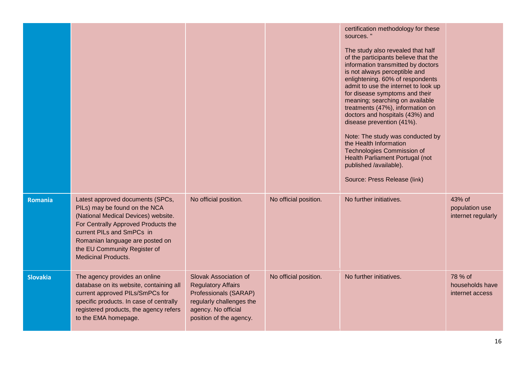|                 |                                                                                                                                                                                                                                                                               |                                                                                                                                                           |                       | certification methodology for these<br>sources."<br>The study also revealed that half<br>of the participants believe that the<br>information transmitted by doctors<br>is not always perceptible and<br>enlightening. 60% of respondents<br>admit to use the internet to look up<br>for disease symptoms and their<br>meaning; searching on available<br>treatments (47%), information on<br>doctors and hospitals (43%) and<br>disease prevention (41%).<br>Note: The study was conducted by<br>the Health Information<br><b>Technologies Commission of</b><br>Health Parliament Portugal (not<br>published /available).<br>Source: Press Release (link) |                                                |
|-----------------|-------------------------------------------------------------------------------------------------------------------------------------------------------------------------------------------------------------------------------------------------------------------------------|-----------------------------------------------------------------------------------------------------------------------------------------------------------|-----------------------|-----------------------------------------------------------------------------------------------------------------------------------------------------------------------------------------------------------------------------------------------------------------------------------------------------------------------------------------------------------------------------------------------------------------------------------------------------------------------------------------------------------------------------------------------------------------------------------------------------------------------------------------------------------|------------------------------------------------|
| Romania         | Latest approved documents (SPCs,<br>PILs) may be found on the NCA<br>(National Medical Devices) website.<br>For Centrally Approved Products the<br>current PILs and SmPCs in<br>Romanian language are posted on<br>the EU Community Register of<br><b>Medicinal Products.</b> | No official position.                                                                                                                                     | No official position. | No further initiatives.                                                                                                                                                                                                                                                                                                                                                                                                                                                                                                                                                                                                                                   | 43% of<br>population use<br>internet regularly |
| <b>Slovakia</b> | The agency provides an online<br>database on its website, containing all<br>current approved PILs/SmPCs for<br>specific products. In case of centrally<br>registered products, the agency refers<br>to the EMA homepage.                                                      | Slovak Association of<br><b>Regulatory Affairs</b><br>Professionals (SARAP)<br>regularly challenges the<br>agency. No official<br>position of the agency. | No official position. | No further initiatives.                                                                                                                                                                                                                                                                                                                                                                                                                                                                                                                                                                                                                                   | 78 % of<br>households have<br>internet access  |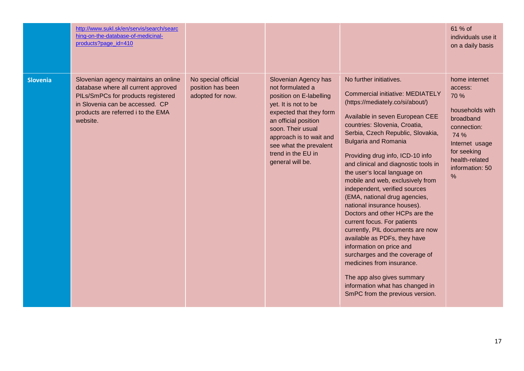|                 | http://www.sukl.sk/en/servis/search/searc<br>hing-on-the-database-of-medicinal-<br>products?page_id=410                                                                                                |                                                              |                                                                                                                                                                                                                                                                    |                                                                                                                                                                                                                                                                                                                                                                                                                                                                                                                                                                                                                                                                                                                                                                                                                                     | 61 % of<br>individuals use it<br>on a daily basis                                                                                                                              |
|-----------------|--------------------------------------------------------------------------------------------------------------------------------------------------------------------------------------------------------|--------------------------------------------------------------|--------------------------------------------------------------------------------------------------------------------------------------------------------------------------------------------------------------------------------------------------------------------|-------------------------------------------------------------------------------------------------------------------------------------------------------------------------------------------------------------------------------------------------------------------------------------------------------------------------------------------------------------------------------------------------------------------------------------------------------------------------------------------------------------------------------------------------------------------------------------------------------------------------------------------------------------------------------------------------------------------------------------------------------------------------------------------------------------------------------------|--------------------------------------------------------------------------------------------------------------------------------------------------------------------------------|
| <b>Slovenia</b> | Slovenian agency maintains an online<br>database where all current approved<br>PILs/SmPCs for products registered<br>in Slovenia can be accessed. CP<br>products are referred i to the EMA<br>website. | No special official<br>position has been<br>adopted for now. | Slovenian Agency has<br>not formulated a<br>position on E-labelling<br>yet. It is not to be<br>expected that they form<br>an official position<br>soon. Their usual<br>approach is to wait and<br>see what the prevalent<br>trend in the EU in<br>general will be. | No further initiatives.<br><b>Commercial initiative: MEDIATELY</b><br>(https://mediately.co/si/about/)<br>Available in seven European CEE<br>countries: Slovenia, Croatia,<br>Serbia, Czech Republic, Slovakia,<br><b>Bulgaria and Romania</b><br>Providing drug info, ICD-10 info<br>and clinical and diagnostic tools in<br>the user's local language on<br>mobile and web, exclusively from<br>independent, verified sources<br>(EMA, national drug agencies,<br>national insurance houses).<br>Doctors and other HCPs are the<br>current focus. For patients<br>currently, PIL documents are now<br>available as PDFs, they have<br>information on price and<br>surcharges and the coverage of<br>medicines from insurance.<br>The app also gives summary<br>information what has changed in<br>SmPC from the previous version. | home internet<br>access:<br>70 %<br>households with<br>broadband<br>connection:<br>74 %<br>Internet usage<br>for seeking<br>health-related<br>information: 50<br>$\frac{0}{0}$ |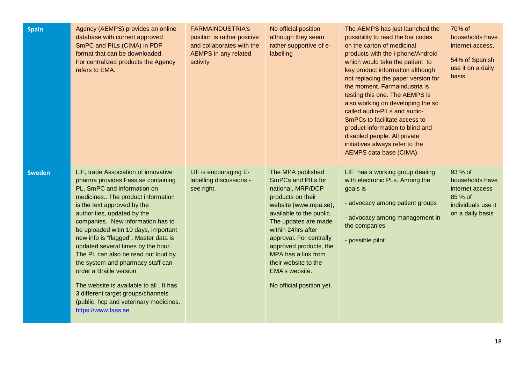| <b>Spain</b>  | Agency (AEMPS) provides an online<br>database with current approved<br>SmPC and PILs (CIMA) in PDF<br>format that can be downloaded.<br>For centralized products the Agency<br>refers to EMA.                                                                                                                                                                                                                                                                                                                                                                                                                                      | <b>FARMAINDUSTRIA's</b><br>position is rather positive<br>and collaborates with the<br><b>AEMPS</b> in any related<br>activity | No official position<br>although they seem<br>rather supportive of e-<br>labelling                                                                                                                                                                                                                                                             | The AEMPS has just launched the<br>possibility to read the bar codes<br>on the carton of medicinal<br>products with the i-phone/Android<br>which would take the patient to<br>key product information although<br>not replacing the paper version for<br>the moment. Farmaindustria is<br>testing this one. The AEMPS is<br>also working on developing the so<br>called audio-PILs and audio-<br>SmPCs to facilitate access to<br>product information to blind and<br>disabled people. All private<br>initiatives always refer to the<br>AEMPS data base (CIMA). | 70% of<br>households have<br>internet access,<br>54% of Spanish<br>use it on a daily<br>basis      |
|---------------|------------------------------------------------------------------------------------------------------------------------------------------------------------------------------------------------------------------------------------------------------------------------------------------------------------------------------------------------------------------------------------------------------------------------------------------------------------------------------------------------------------------------------------------------------------------------------------------------------------------------------------|--------------------------------------------------------------------------------------------------------------------------------|------------------------------------------------------------------------------------------------------------------------------------------------------------------------------------------------------------------------------------------------------------------------------------------------------------------------------------------------|------------------------------------------------------------------------------------------------------------------------------------------------------------------------------------------------------------------------------------------------------------------------------------------------------------------------------------------------------------------------------------------------------------------------------------------------------------------------------------------------------------------------------------------------------------------|----------------------------------------------------------------------------------------------------|
| <b>Sweden</b> | LIF, trade Association of innovative<br>pharma provides Fass.se containing<br>PL, SmPC and information on<br>medicines The product information<br>is the text approved by the<br>authorities, updated by the<br>companies. New information has to<br>be uploaded witin 10 days, important<br>new info is "flagged". Master data is<br>updated several times by the hour.<br>The PL can also be read out loud by<br>the system and pharmacy staff can<br>order a Braille version<br>The website is available to all . It has<br>3 different target groups/channels<br>(public. hcp and veterinary medicines.<br>https://www.fass.se | LIF is encouraging E-<br>labelling discussions -<br>see right.                                                                 | The MPA published<br><b>SmPCs and PILs for</b><br>national, MRP/DCP<br>products on their<br>website (www.mpa.se),<br>available to the public.<br>The updates are made<br>within 24hrs after<br>approval. For centrally<br>approved products, the<br>MPA has a link from<br>their website to the<br>EMA's website.<br>No official position yet. | LIF has a working group dealing<br>with electronic PLs. Among the<br>goals is<br>- advocacy among patient groups<br>- advocacy among management in<br>the companies<br>- possible pilot                                                                                                                                                                                                                                                                                                                                                                          | 93 % of<br>households have<br>internet access<br>85 % of<br>individuals use it<br>on a daily basis |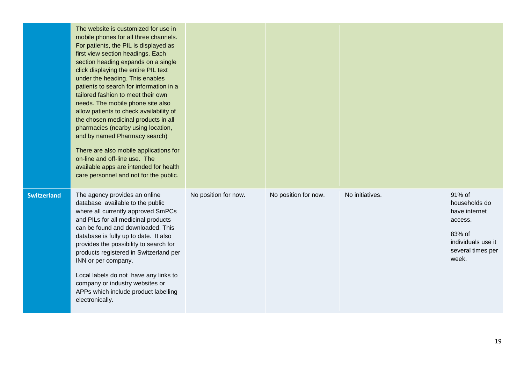|                    | The website is customized for use in<br>mobile phones for all three channels.<br>For patients, the PIL is displayed as<br>first view section headings. Each<br>section heading expands on a single<br>click displaying the entire PIL text<br>under the heading. This enables<br>patients to search for information in a<br>tailored fashion to meet their own<br>needs. The mobile phone site also<br>allow patients to check availability of<br>the chosen medicinal products in all<br>pharmacies (nearby using location,<br>and by named Pharmacy search)<br>There are also mobile applications for<br>on-line and off-line use. The<br>available apps are intended for health<br>care personnel and not for the public. |                      |                      |                 |                                                                                                                   |
|--------------------|------------------------------------------------------------------------------------------------------------------------------------------------------------------------------------------------------------------------------------------------------------------------------------------------------------------------------------------------------------------------------------------------------------------------------------------------------------------------------------------------------------------------------------------------------------------------------------------------------------------------------------------------------------------------------------------------------------------------------|----------------------|----------------------|-----------------|-------------------------------------------------------------------------------------------------------------------|
| <b>Switzerland</b> | The agency provides an online<br>database available to the public<br>where all currently approved SmPCs<br>and PILs for all medicinal products<br>can be found and downloaded. This<br>database is fully up to date. It also<br>provides the possibility to search for<br>products registered in Switzerland per<br>INN or per company.<br>Local labels do not have any links to<br>company or industry websites or<br>APPs which include product labelling<br>electronically.                                                                                                                                                                                                                                               | No position for now. | No position for now. | No initiatives. | 91% of<br>households do<br>have internet<br>access.<br>83% of<br>individuals use it<br>several times per<br>week. |